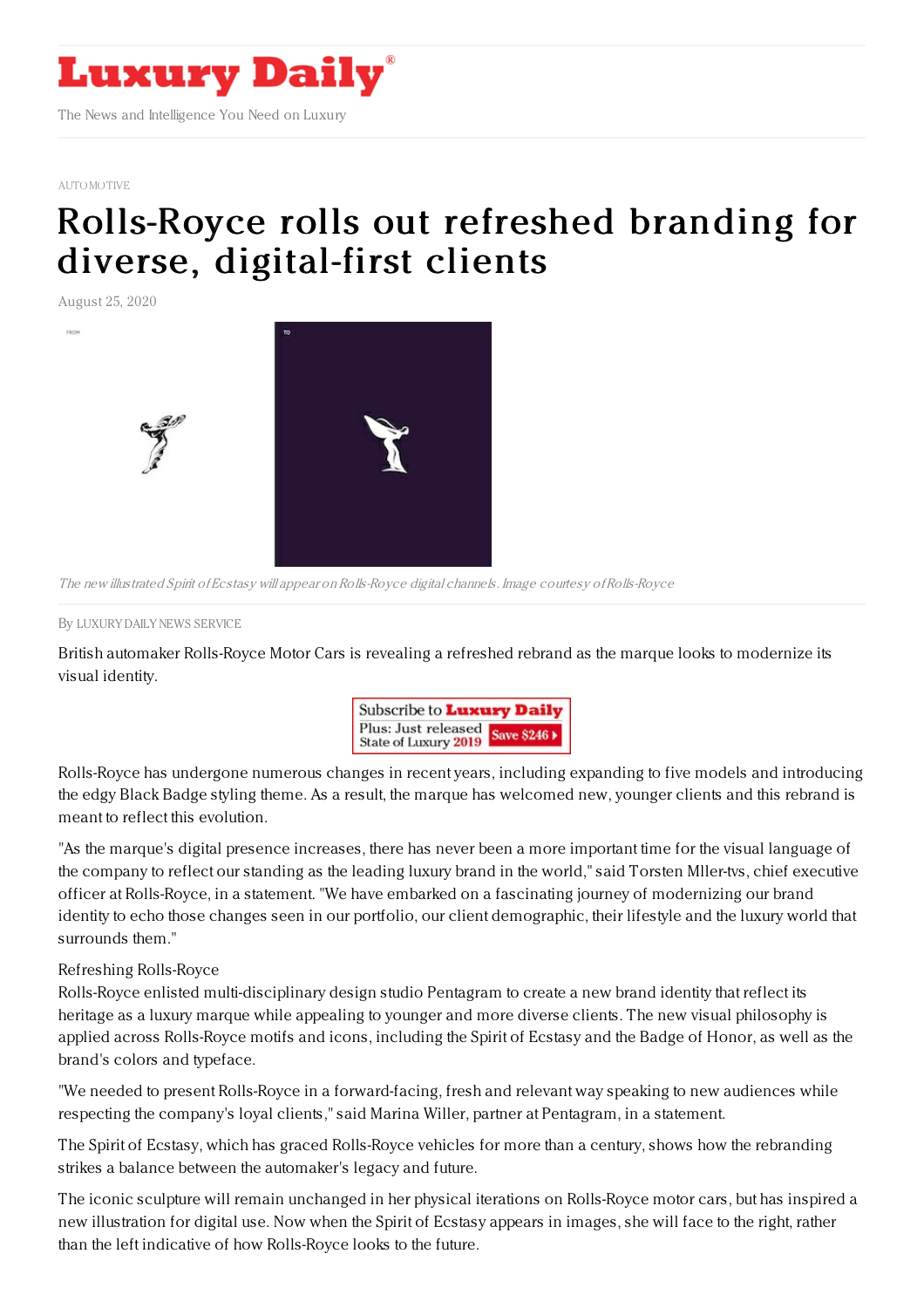

## [AUTOMOTIVE](https://www.luxurydaily.com/category/sectors/automotive-industry-sectors/)

## [Rolls-Royce](https://www.luxurydaily.com/rolls-royce-rolls-out-refreshed-branding-for-diverse-digital-first-clients/) rolls out refreshed branding for diverse, digital-first clients

August 25, 2020

The new illustrated Spirit of Ecstasy will appear onRolls-Royce digital channels. Image courtesy ofRolls-Royce

## By LUXURY DAILY NEWS [SERVICE](file:///author/luxury-daily-news-service)

British automaker Rolls-Royce Motor Cars is revealing a refreshed rebrand as the marque looks to modernize its visual identity.



Rolls-Royce has undergone numerous changes in recent years, including expanding to five models and introducing the edgy Black Badge styling theme. As a result, the marque has welcomed new, younger clients and this rebrand is meant to reflect this evolution.

"As the marque's digital presence increases, there has never been a more important time for the visual language of the company to reflect our standing as the leading luxury brand in the world," said Torsten Mller-tvs, chief executive officer at Rolls-Royce, in a statement. "We have embarked on a fascinating journey of modernizing our brand identity to echo those changes seen in our portfolio, our client demographic, their lifestyle and the luxury world that surrounds them."

## Refreshing Rolls-Royce

Rolls-Royce enlisted multi-disciplinary design studio Pentagram to create a new brand identity that reflect its heritage as a luxury marque while appealing to younger and more diverse clients. The new visual philosophy is applied across Rolls-Royce motifs and icons, including the Spirit of Ecstasy and the Badge of Honor, as well as the brand's colors and typeface.

"We needed to present Rolls-Royce in a forward-facing, fresh and relevant way speaking to new audiences while respecting the company's loyal clients," said Marina Willer, partner at Pentagram, in a statement.

The Spirit of Ecstasy, which has graced Rolls-Royce vehicles for more than a century, shows how the rebranding strikes a balance between the automaker's legacy and future.

The iconic sculpture will remain unchanged in her physical iterations on Rolls-Royce motor cars, but has inspired a new illustration for digital use. Now when the Spirit of Ecstasy appears in images, she will face to the right, rather than the left indicative of how Rolls-Royce looks to the future.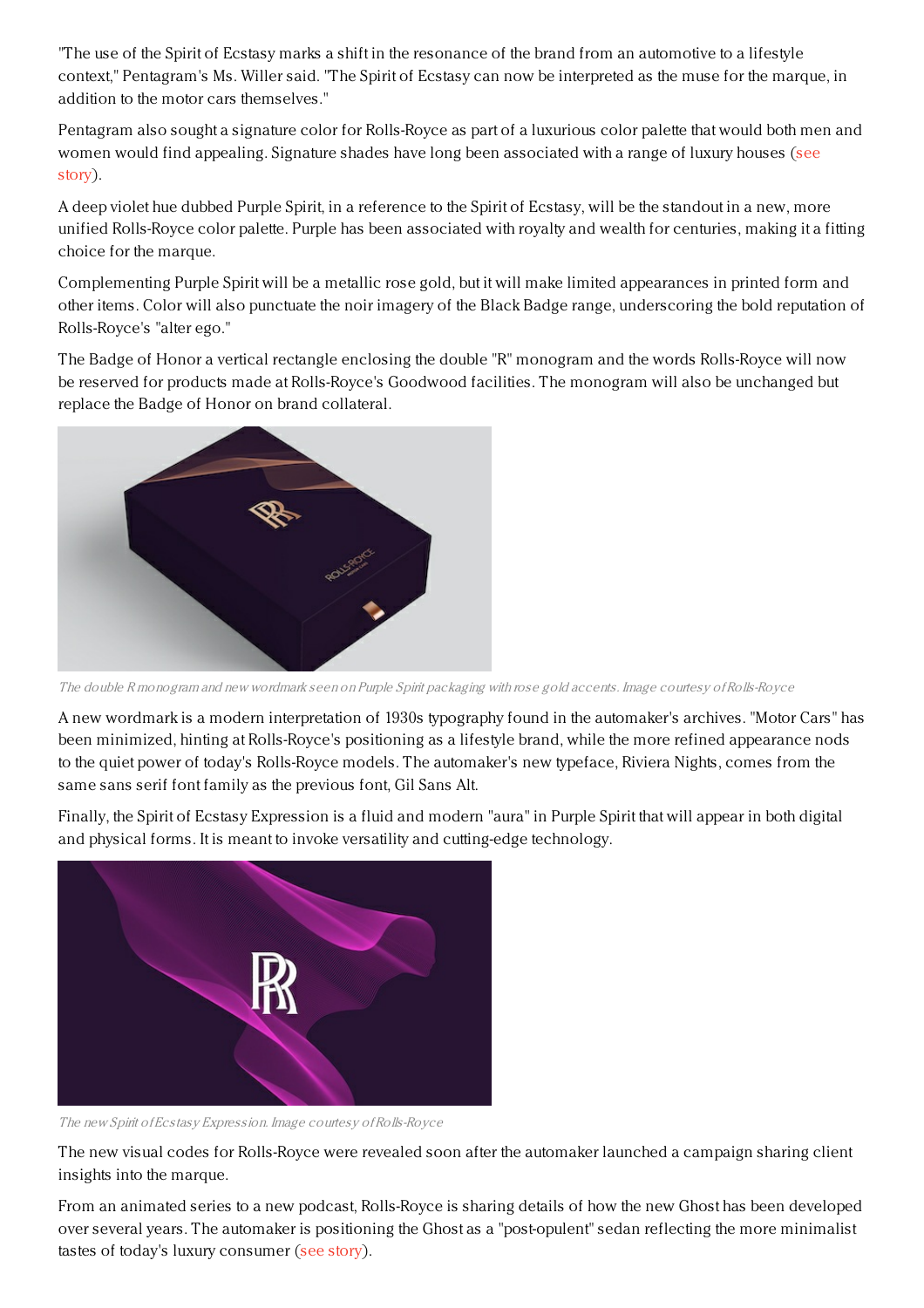"The use of the Spirit of Ecstasy marks a shift in the resonance of the brand from an automotive to a lifestyle context," Pentagram's Ms. Willer said. "The Spirit of Ecstasy can now be interpreted as the muse for the marque, in addition to the motor cars themselves."

Pentagram also sought a signature color for Rolls-Royce as part of a luxurious color palette that would both men and women would find appealing. Signature shades have long been [associated](https://www.luxurydaily.com/colors-in-luxury-luxury-memo-special-report/) with a range of luxury houses (see story).

A deep violet hue dubbed Purple Spirit, in a reference to the Spirit of Ecstasy, will be the standout in a new, more unified Rolls-Royce color palette. Purple has been associated with royalty and wealth for centuries, making it a fitting choice for the marque.

Complementing Purple Spirit will be a metallic rose gold, but it will make limited appearances in printed form and other items. Color will also punctuate the noir imagery of the Black Badge range, underscoring the bold reputation of Rolls-Royce's "alter ego."

The Badge of Honor a vertical rectangle enclosing the double "R" monogram and the words Rolls-Royce will now be reserved for products made at Rolls-Royce's Goodwood facilities. The monogram will also be unchanged but replace the Badge of Honor on brand collateral.



The double R monogram and new wordmark seen on Purple Spirit packaging with rose gold accents. Image courtesy ofRolls-Royce

A new wordmark is a modern interpretation of 1930s typography found in the automaker's archives. "Motor Cars" has been minimized, hinting at Rolls-Royce's positioning as a lifestyle brand, while the more refined appearance nods to the quiet power of today's Rolls-Royce models. The automaker's new typeface, Riviera Nights, comes from the same sans serif font family as the previous font, Gil Sans Alt.

Finally, the Spirit of Ecstasy Expression is a fluid and modern "aura" in Purple Spirit that will appear in both digital and physical forms. It is meant to invoke versatility and cutting-edge technology.



The new Spirit of Ecstasy Expression. Image courtesy ofRolls-Royce

The new visual codes for Rolls-Royce were revealed soon after the automaker launched a campaign sharing client insights into the marque.

From an animated series to a new podcast, Rolls-Royce is sharing details of how the new Ghost has been developed over several years. The automaker is positioning the Ghost as a "post-opulent" sedan reflecting the more minimalist tastes of today's luxury consumer (see [story](https://www.luxurydaily.com/rolls-royce-reveals-serenity-formula-in-animated-series-finale/)).